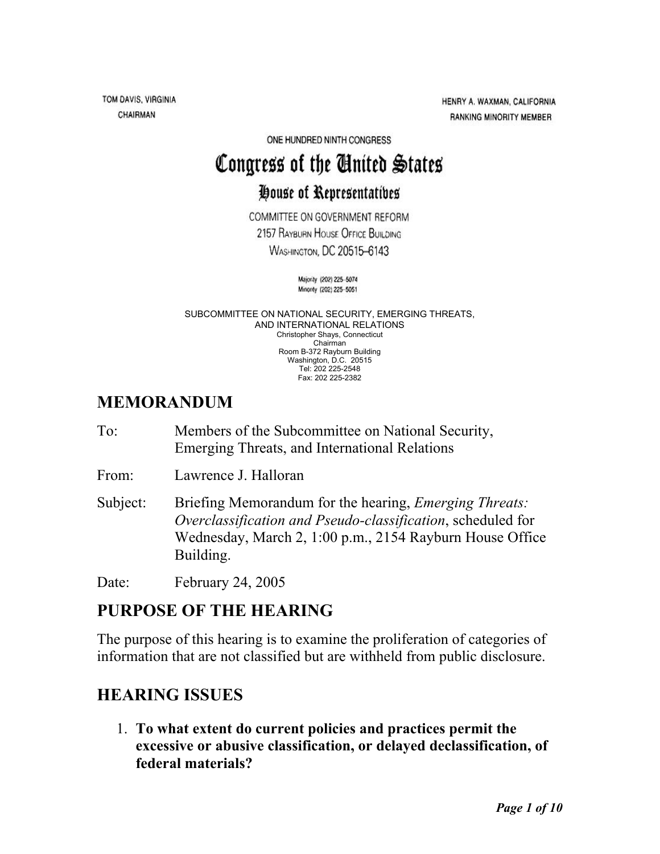TOM DAVIS, VIRGINIA CHAIRMAN

HENRY A. WAXMAN, CALIFORNIA **RANKING MINORITY MEMBER** 

ONE HUNDRED NINTH CONGRESS

# Congress of the Cinited States

## House of Representatives

COMMITTEE ON GOVERNMENT REFORM 2157 RAYBURN HOUSE OFFICE BUILDING **WASHINGTON, DC 20515-6143** 

> Majority (202) 225-5074 Minority (202) 225-5051

SUBCOMMITTEE ON NATIONAL SECURITY, EMERGING THREATS, AND INTERNATIONAL RELATIONS Christopher Shays, Connecticut Chairman Room B-372 Rayburn Building Washington, D.C. 20515 Tel: 202 225-2548 Fax: 202 225-2382

### **MEMORANDUM**

To: Members of the Subcommittee on National Security, Emerging Threats, and International Relations

From: Lawrence J. Halloran

Subject: Briefing Memorandum for the hearing, *Emerging Threats: Overclassification and Pseudo-classification*, scheduled for Wednesday, March 2, 1:00 p.m., 2154 Rayburn House Office Building.

Date: February 24, 2005

## **PURPOSE OF THE HEARING**

The purpose of this hearing is to examine the proliferation of categories of information that are not classified but are withheld from public disclosure.

## **HEARING ISSUES**

1. **To what extent do current policies and practices permit the excessive or abusive classification, or delayed declassification, of federal materials?**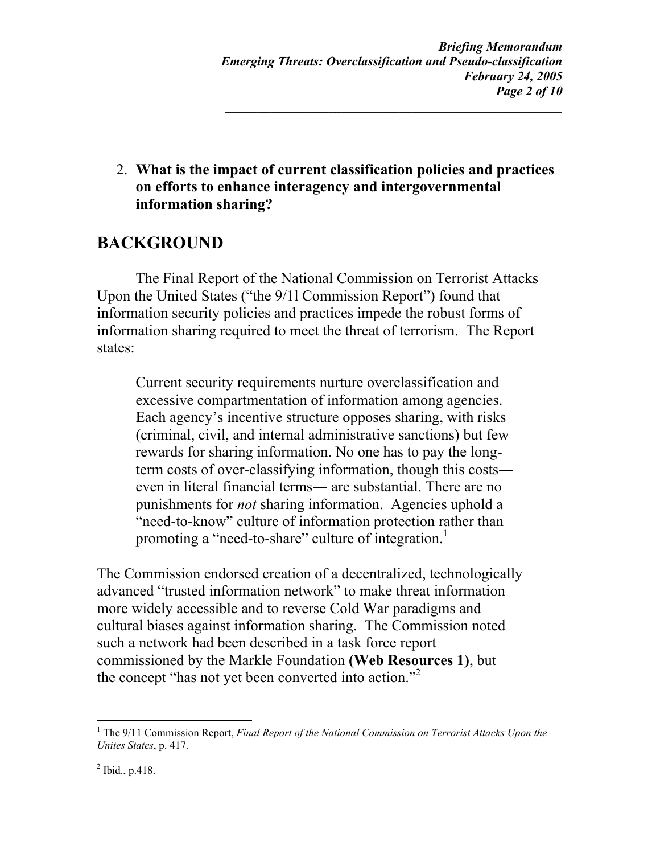2. **What is the impact of current classification policies and practices on efforts to enhance interagency and intergovernmental information sharing?** 

## **BACKGROUND**

The Final Report of the National Commission on Terrorist Attacks Upon the United States ("the 9/1l Commission Report") found that information security policies and practices impede the robust forms of information sharing required to meet the threat of terrorism. The Report states:

Current security requirements nurture overclassification and excessive compartmentation of information among agencies. Each agency's incentive structure opposes sharing, with risks (criminal, civil, and internal administrative sanctions) but few rewards for sharing information. No one has to pay the longterm costs of over-classifying information, though this costs― even in literal financial terms― are substantial. There are no punishments for *not* sharing information. Agencies uphold a "need-to-know" culture of information protection rather than promoting a "need-to-share" culture of integration.<sup>[1](#page-1-0)</sup>

The Commission endorsed creation of a decentralized, technologically advanced "trusted information network" to make threat information more widely accessible and to reverse Cold War paradigms and cultural biases against information sharing. The Commission noted such a network had been described in a task force report commissioned by the Markle Foundation **(Web Resources 1)**, but the concept "has not yet been converted into action."<sup>[2](#page-1-1)</sup>

 $\overline{a}$ 

<span id="page-1-0"></span><sup>&</sup>lt;sup>1</sup> The 9/11 Commission Report, *Final Report of the National Commission on Terrorist Attacks Upon the Unites States*, p. 417.

<span id="page-1-1"></span> $^{2}$  Ibid., p.418.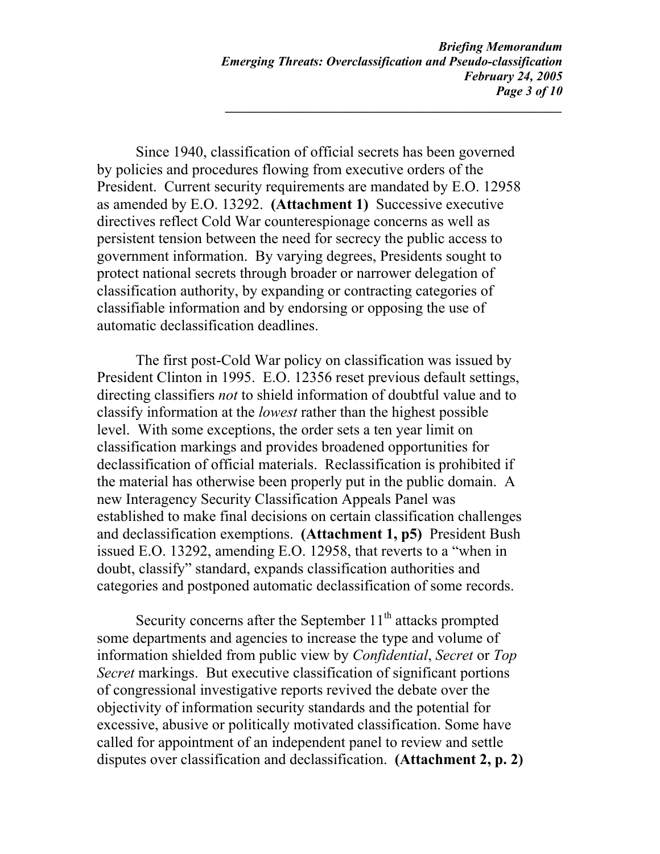Since 1940, classification of official secrets has been governed by policies and procedures flowing from executive orders of the President. Current security requirements are mandated by E.O. 12958 as amended by E.O. 13292. **(Attachment 1)** Successive executive directives reflect Cold War counterespionage concerns as well as persistent tension between the need for secrecy the public access to government information. By varying degrees, Presidents sought to protect national secrets through broader or narrower delegation of classification authority, by expanding or contracting categories of classifiable information and by endorsing or opposing the use of automatic declassification deadlines.

The first post-Cold War policy on classification was issued by President Clinton in 1995. E.O. 12356 reset previous default settings, directing classifiers *not* to shield information of doubtful value and to classify information at the *lowest* rather than the highest possible level. With some exceptions, the order sets a ten year limit on classification markings and provides broadened opportunities for declassification of official materials. Reclassification is prohibited if the material has otherwise been properly put in the public domain. A new Interagency Security Classification Appeals Panel was established to make final decisions on certain classification challenges and declassification exemptions. **(Attachment 1, p5)** President Bush issued E.O. 13292, amending E.O. 12958, that reverts to a "when in doubt, classify" standard, expands classification authorities and categories and postponed automatic declassification of some records.

Security concerns after the September  $11<sup>th</sup>$  attacks prompted some departments and agencies to increase the type and volume of information shielded from public view by *Confidential*, *Secret* or *Top Secret* markings. But executive classification of significant portions of congressional investigative reports revived the debate over the objectivity of information security standards and the potential for excessive, abusive or politically motivated classification. Some have called for appointment of an independent panel to review and settle disputes over classification and declassification. **(Attachment 2, p. 2)**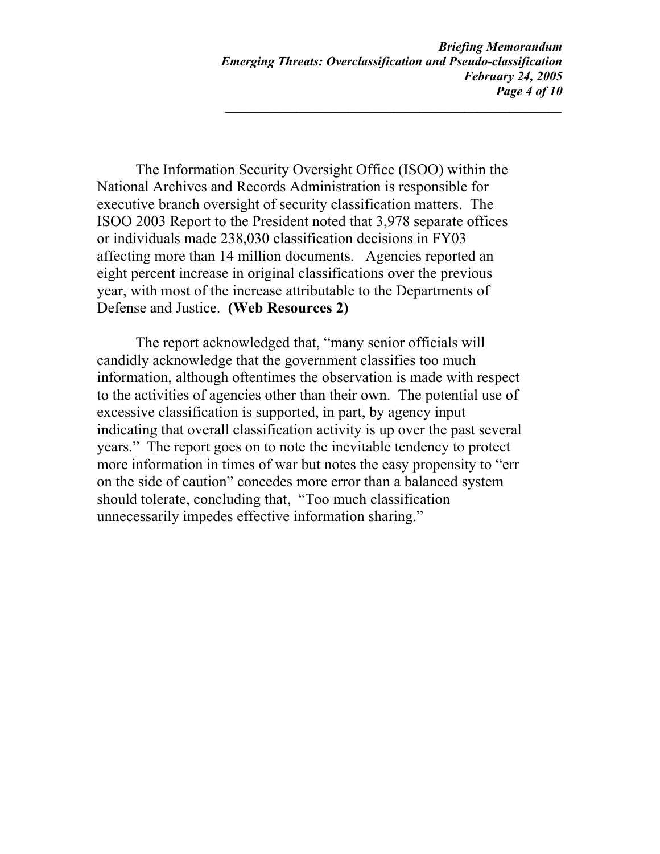The Information Security Oversight Office (ISOO) within the National Archives and Records Administration is responsible for executive branch oversight of security classification matters. The ISOO 2003 Report to the President noted that 3,978 separate offices or individuals made 238,030 classification decisions in FY03 affecting more than 14 million documents. Agencies reported an eight percent increase in original classifications over the previous year, with most of the increase attributable to the Departments of Defense and Justice. **(Web Resources 2)** 

The report acknowledged that, "many senior officials will candidly acknowledge that the government classifies too much information, although oftentimes the observation is made with respect to the activities of agencies other than their own. The potential use of excessive classification is supported, in part, by agency input indicating that overall classification activity is up over the past several years." The report goes on to note the inevitable tendency to protect more information in times of war but notes the easy propensity to "err on the side of caution" concedes more error than a balanced system should tolerate, concluding that, "Too much classification unnecessarily impedes effective information sharing."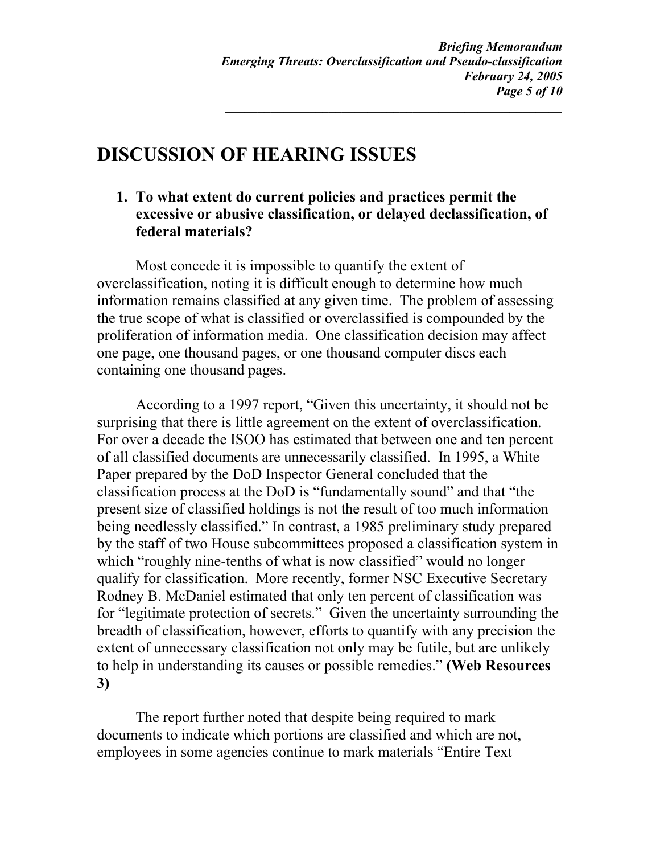## **DISCUSSION OF HEARING ISSUES**

**1. To what extent do current policies and practices permit the excessive or abusive classification, or delayed declassification, of federal materials?** 

Most concede it is impossible to quantify the extent of overclassification, noting it is difficult enough to determine how much information remains classified at any given time. The problem of assessing the true scope of what is classified or overclassified is compounded by the proliferation of information media. One classification decision may affect one page, one thousand pages, or one thousand computer discs each containing one thousand pages.

According to a 1997 report, "Given this uncertainty, it should not be surprising that there is little agreement on the extent of overclassification. For over a decade the ISOO has estimated that between one and ten percent of all classified documents are unnecessarily classified. In 1995, a White Paper prepared by the DoD Inspector General concluded that the classification process at the DoD is "fundamentally sound" and that "the present size of classified holdings is not the result of too much information being needlessly classified." In contrast, a 1985 preliminary study prepared by the staff of two House subcommittees proposed a classification system in which "roughly nine-tenths of what is now classified" would no longer qualify for classification. More recently, former NSC Executive Secretary Rodney B. McDaniel estimated that only ten percent of classification was for "legitimate protection of secrets." Given the uncertainty surrounding the breadth of classification, however, efforts to quantify with any precision the extent of unnecessary classification not only may be futile, but are unlikely to help in understanding its causes or possible remedies." **(Web Resources 3)** 

The report further noted that despite being required to mark documents to indicate which portions are classified and which are not, employees in some agencies continue to mark materials "Entire Text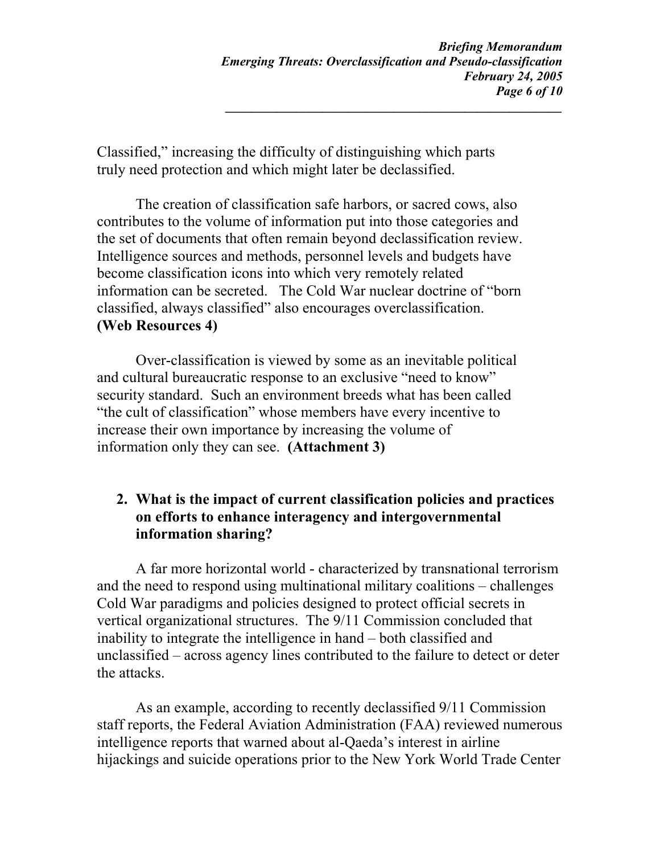Classified," increasing the difficulty of distinguishing which parts truly need protection and which might later be declassified.

The creation of classification safe harbors, or sacred cows, also contributes to the volume of information put into those categories and the set of documents that often remain beyond declassification review. Intelligence sources and methods, personnel levels and budgets have become classification icons into which very remotely related information can be secreted. The Cold War nuclear doctrine of "born classified, always classified" also encourages overclassification. **(Web Resources 4)**

Over-classification is viewed by some as an inevitable political and cultural bureaucratic response to an exclusive "need to know" security standard. Such an environment breeds what has been called "the cult of classification" whose members have every incentive to increase their own importance by increasing the volume of information only they can see. **(Attachment 3)** 

#### **2. What is the impact of current classification policies and practices on efforts to enhance interagency and intergovernmental information sharing?**

A far more horizontal world - characterized by transnational terrorism and the need to respond using multinational military coalitions – challenges Cold War paradigms and policies designed to protect official secrets in vertical organizational structures. The 9/11 Commission concluded that inability to integrate the intelligence in hand – both classified and unclassified – across agency lines contributed to the failure to detect or deter the attacks.

As an example, according to recently declassified 9/11 Commission staff reports, the Federal Aviation Administration (FAA) reviewed numerous intelligence reports that warned about al-Qaeda's interest in airline hijackings and suicide operations prior to the New York World Trade Center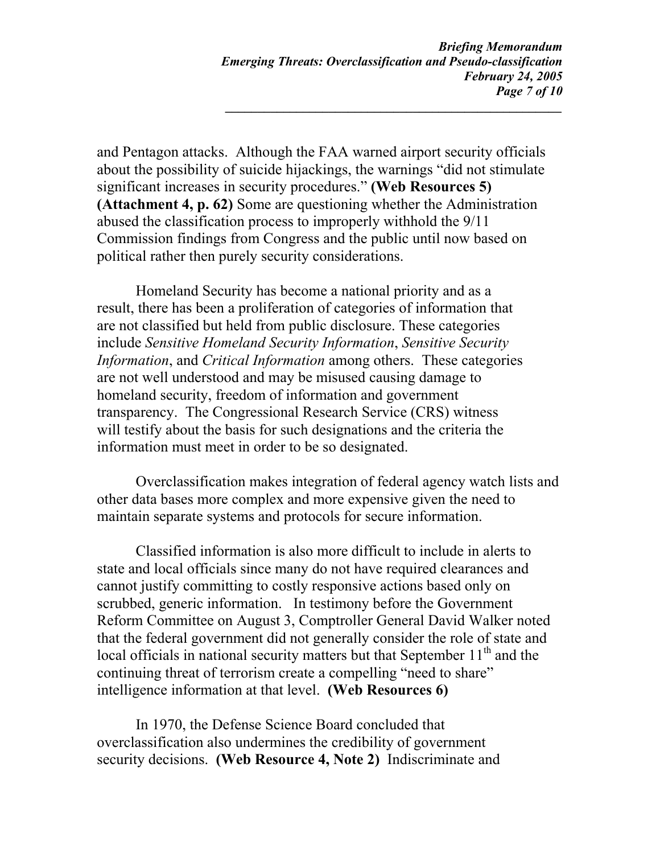and Pentagon attacks. Although the FAA warned airport security officials about the possibility of suicide hijackings, the warnings "did not stimulate significant increases in security procedures." **(Web Resources 5) (Attachment 4, p. 62)** Some are questioning whether the Administration abused the classification process to improperly withhold the 9/11 Commission findings from Congress and the public until now based on political rather then purely security considerations.

Homeland Security has become a national priority and as a result, there has been a proliferation of categories of information that are not classified but held from public disclosure. These categories include *Sensitive Homeland Security Information*, *Sensitive Security Information*, and *Critical Information* among others. These categories are not well understood and may be misused causing damage to homeland security, freedom of information and government transparency. The Congressional Research Service (CRS) witness will testify about the basis for such designations and the criteria the information must meet in order to be so designated.

Overclassification makes integration of federal agency watch lists and other data bases more complex and more expensive given the need to maintain separate systems and protocols for secure information.

Classified information is also more difficult to include in alerts to state and local officials since many do not have required clearances and cannot justify committing to costly responsive actions based only on scrubbed, generic information. In testimony before the Government Reform Committee on August 3, Comptroller General David Walker noted that the federal government did not generally consider the role of state and local officials in national security matters but that September  $11<sup>th</sup>$  and the continuing threat of terrorism create a compelling "need to share" intelligence information at that level. **(Web Resources 6)** 

In 1970, the Defense Science Board concluded that overclassification also undermines the credibility of government security decisions. **(Web Resource 4, Note 2)** Indiscriminate and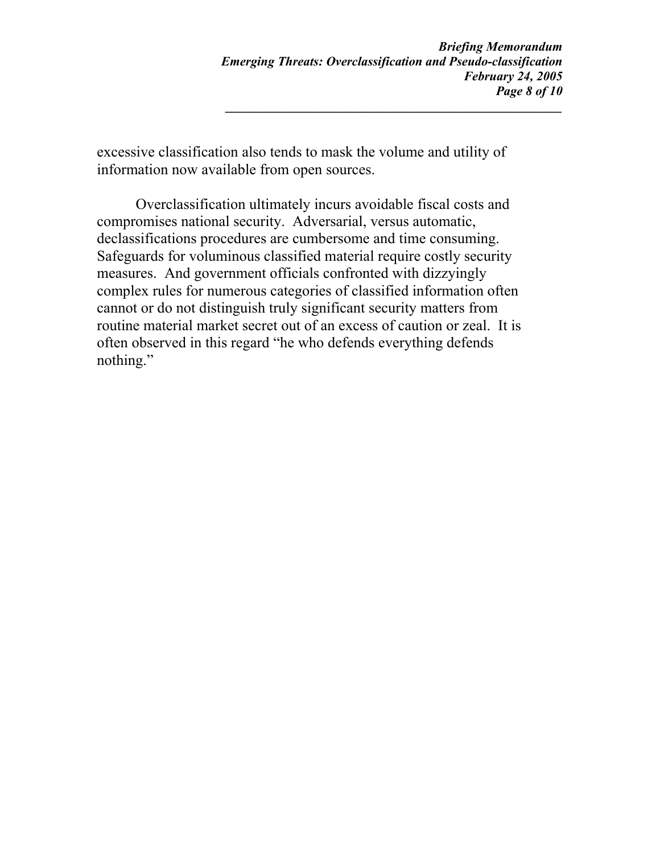excessive classification also tends to mask the volume and utility of information now available from open sources.

Overclassification ultimately incurs avoidable fiscal costs and compromises national security. Adversarial, versus automatic, declassifications procedures are cumbersome and time consuming. Safeguards for voluminous classified material require costly security measures. And government officials confronted with dizzyingly complex rules for numerous categories of classified information often cannot or do not distinguish truly significant security matters from routine material market secret out of an excess of caution or zeal. It is often observed in this regard "he who defends everything defends nothing."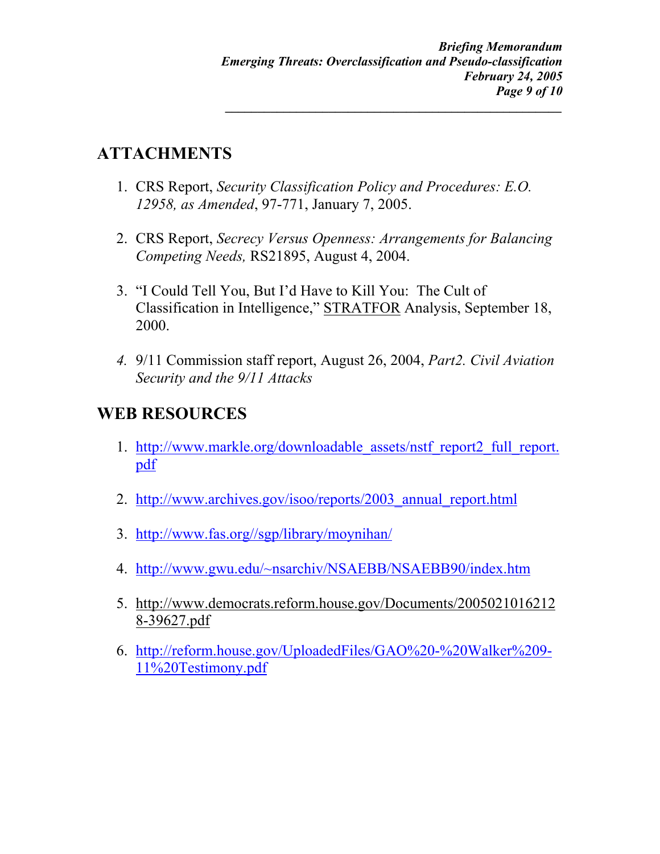## **ATTACHMENTS**

- 1. CRS Report, *Security Classification Policy and Procedures: E.O. 12958, as Amended*, 97-771, January 7, 2005.
- 2. CRS Report, *Secrecy Versus Openness: Arrangements for Balancing Competing Needs,* RS21895, August 4, 2004.
- 3. "I Could Tell You, But I'd Have to Kill You: The Cult of Classification in Intelligence," STRATFOR Analysis, September 18, 2000.
- *4.* 9/11 Commission staff report, August 26, 2004, *Part2. Civil Aviation Security and the 9/11 Attacks*

## **WEB RESOURCES**

- 1. [http://www.markle.org/downloadable\\_assets/nstf\\_report2\\_full\\_report.](http://www.markle.org/downloadable_assets/nstf_report2_full_report.pdf) [pdf](http://www.markle.org/downloadable_assets/nstf_report2_full_report.pdf)
- 2. [http://www.archives.gov/isoo/reports/2003\\_annual\\_report.html](http://www.archives.gov/isoo/reports/2003_annual_report.html)
- 3. <http://www.fas.org//sgp/library/moynihan/>
- 4. <http://www.gwu.edu/~nsarchiv/NSAEBB/NSAEBB90/index.htm>
- 5. http://www.democrats.reform.house.gov/Documents/2005021016212 8-39627.pdf
- 6. [http://reform.house.gov/UploadedFiles/GAO%20-%20Walker%209-](http://reform.house.gov/UploadedFiles/GAO  Walker 9-11 Testimony.pdf) [11%20Testimony.pdf](http://reform.house.gov/UploadedFiles/GAO - Walker 9-11 Testimony.pdf)